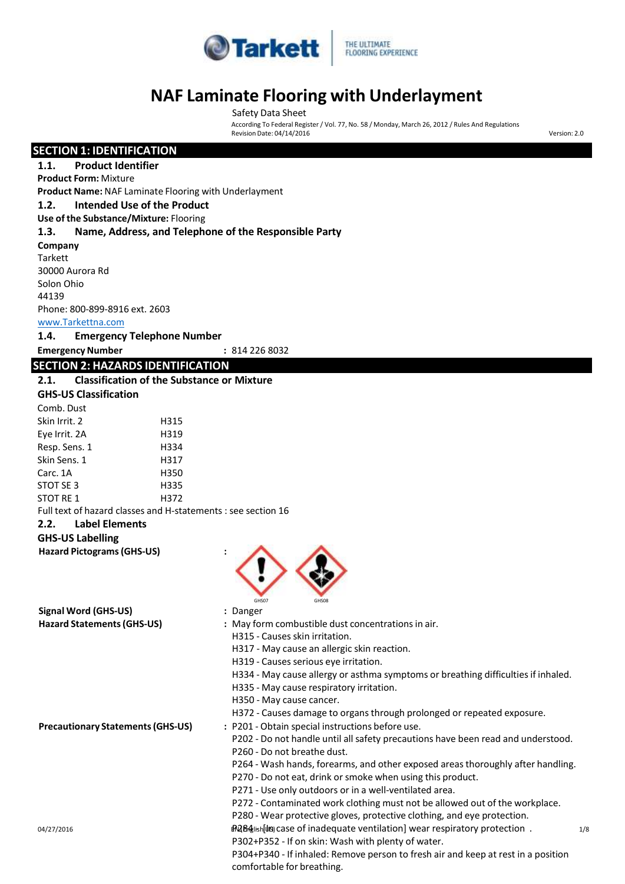

### **FLOORING EXPERIENCE**

### **NAF Laminate Flooring with Underlayment**

According To Federal Register / Vol. 77, No. 58 / Monday, March 26, 2012 / Rules And Regulations

### o4/27/2016 **EXERGISH US** Case of inadequate ventilation] wear respiratory protection . ه 1/8 Safety Data Sheet RevisionDate: 04/14/2016 Version: 2.0 **SECTION 1: IDENTIFICATION 1.1. Product Identifier Product Form:** Mixture **Product Name:** NAF Laminate Flooring with Underlayment **1.2. Intended Use of the Product Use of the Substance/Mixture:** Flooring **1.3. Name, Address, and Telephone of the Responsible Party Company Tarkett** 30000 Aurora Rd Solon Ohio 44139 Phone: 800-899-8916 ext. 2603 [www.Tarkettna.com](http://www.tarkettna.com/) **1.4. Emergency Telephone Number EmergencyNumber :** 814 226 8032 **SECTION 2: HAZARDS IDENTIFICATION 2.1. Classification of the Substance or Mixture GHS-US Classification** Full text of hazard classes and H-statements : see section 16 **2.2. Label Elements GHS-US Labelling** Comb. Dust Skin Irrit. 2 H315 Eve Irrit. 2A H319 Resp. Sens. 1 H334 Skin Sens. 1 H317 Carc. 1A H350 STOT SE 3 H335 STOT RE 1 H372 **Hazard Pictograms(GHS-US) :** GHS07 GHS08 **Signal Word (GHS-US) :** Danger **Hazard Statements(GHS-US) :** May form combustible dust concentrationsin air. H315 - Causes skin irritation. H317 - May cause an allergic skin reaction. H319 - Causes serious eye irritation. H334 - May cause allergy or asthma symptoms or breathing difficulties if inhaled. H335 - May cause respiratory irritation. H350 - May cause cancer. H372 - Causes damage to organs through prolonged or repeated exposure. **Precautionary Statements(GHS-US) :** P201 - Obtain special instructions before use. P202 - Do not handle until all safety precautions have been read and understood. P260 - Do not breathe dust. P264 - Wash hands, forearms, and other exposed areas thoroughly after handling. P270 - Do not eat, drink or smoke when using this product. P271 - Use only outdoors or in a well-ventilated area. P272 - Contaminated work clothing must not be allowed out of the workplace. P280 - Wear protective gloves, protective clothing, and eye protection. P302+P352 - If on skin: Wash with plenty of water.

P304+P340 - If inhaled: Remove person to fresh air and keep at rest in a position comfortable for breathing.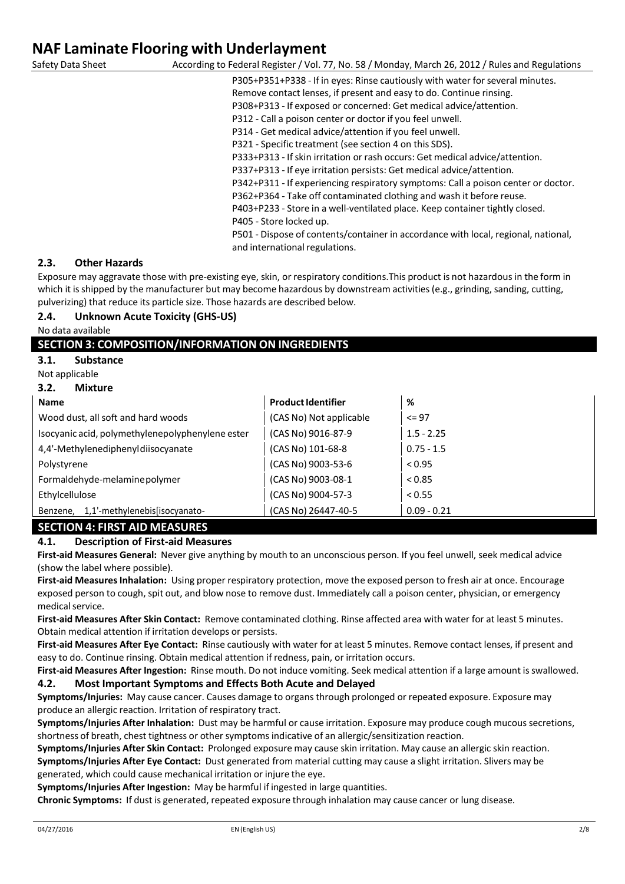According to Federal Register / Vol. 77, No. 58 / Monday, March 26, 2012 / Rules and Regulations

P305+P351+P338 - If in eyes: Rinse cautiously with water for several minutes. Remove contact lenses, if present and easy to do. Continue rinsing.

P308+P313 - If exposed or concerned: Get medical advice/attention.

P312 - Call a poison center or doctor if you feel unwell.

P314 - Get medical advice/attention if you feel unwell.

P321 - Specific treatment (see section 4 on this SDS).

P333+P313 - If skin irritation or rash occurs: Get medical advice/attention.

P337+P313 - If eye irritation persists: Get medical advice/attention.

P342+P311 - If experiencing respiratory symptoms: Call a poison center or doctor.

P362+P364 - Take off contaminated clothing and wash it before reuse.

P403+P233 - Store in a well-ventilated place. Keep container tightly closed. P405 - Store locked up.

P501 - Dispose of contents/container in accordance with local, regional, national, and international regulations.

### **2.3. Other Hazards**

Exposure may aggravate those with pre-existing eye, skin, or respiratory conditions.This product is not hazardousin the form in which it is shipped by the manufacturer but may become hazardous by downstream activities (e.g., grinding, sanding, cutting, pulverizing) that reduce its particle size. Those hazards are described below.

### **2.4. Unknown Acute Toxicity (GHS-US)**

No data available

### **SECTION 3: COMPOSITION/INFORMATION ON INGREDIENTS**

**3.1. Substance**

Not applicable

**3.2. Mixture**

| <b>Name</b>                                      | <b>Product Identifier</b> | %             |
|--------------------------------------------------|---------------------------|---------------|
| Wood dust, all soft and hard woods               | (CAS No) Not applicable   | $\leq$ 97     |
| Isocyanic acid, polymethylenepolyphenylene ester | (CAS No) 9016-87-9        | $1.5 - 2.25$  |
| 4,4'-Methylenediphenyldiisocyanate               | (CAS No) 101-68-8         | $0.75 - 1.5$  |
| Polystyrene                                      | (CAS No) 9003-53-6        | < 0.95        |
| Formaldehyde-melaminepolymer                     | (CAS No) 9003-08-1        | < 0.85        |
| Ethylcellulose                                   | (CAS No) 9004-57-3        | < 0.55        |
| 1,1'-methylenebis[isocyanato-<br>Benzene,        | (CAS No) 26447-40-5       | $0.09 - 0.21$ |

### **SECTION 4: FIRST AID MEASURES**

### **4.1. Description of First-aid Measures**

**First-aid Measures General:** Never give anything by mouth to an unconscious person. If you feel unwell, seek medical advice (show the label where possible).

First-aid Measures Inhalation: Using proper respiratory protection, move the exposed person to fresh air at once. Encourage exposed person to cough, spit out, and blow nose to remove dust. Immediately call a poison center, physician, or emergency medical service.

**First-aid Measures After Skin Contact:** Remove contaminated clothing. Rinse affected area with water for at least 5 minutes. Obtain medical attention if irritation develops or persists.

**First-aid Measures After Eye Contact:** Rinse cautiously with water for at least 5 minutes. Remove contact lenses, if present and easy to do. Continue rinsing. Obtain medical attention if redness, pain, or irritation occurs.

**First-aid Measures After Ingestion:** Rinse mouth. Do not induce vomiting. Seek medical attention if a large amount isswallowed.

### **4.2. Most Important Symptoms and Effects Both Acute and Delayed**

**Symptoms/Injuries:** May cause cancer. Causes damage to organsthrough prolonged or repeated exposure. Exposure may produce an allergic reaction. Irritation of respiratory tract.

**Symptoms/Injuries After Inhalation:** Dust may be harmful or cause irritation. Exposure may produce cough mucoussecretions, shortness of breath, chest tightness or other symptoms indicative of an allergic/sensitization reaction.

**Symptoms/Injuries After Skin Contact:** Prolonged exposure may cause skin irritation. May cause an allergic skin reaction.

**Symptoms/Injuries After Eye Contact:** Dust generated from material cutting may cause a slight irritation. Slivers may be generated, which could cause mechanical irritation or injure the eye.

**Symptoms/Injuries After Ingestion:** May be harmful if ingested in large quantities.

**Chronic Symptoms:** If dust is generated, repeated exposure through inhalation may cause cancer or lung disease.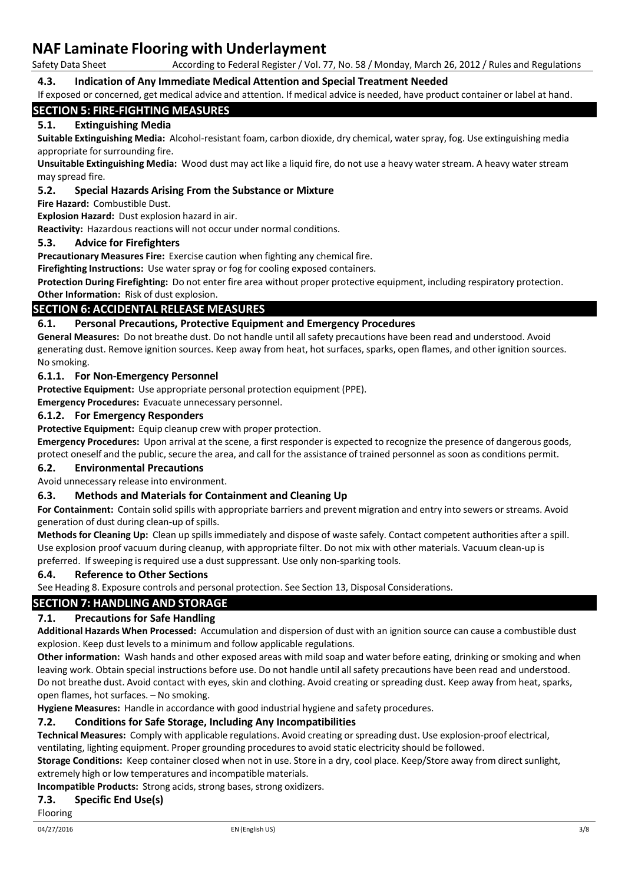According to Federal Register / Vol. 77, No. 58 / Monday, March 26, 2012 / Rules and Regulations

### **4.3. Indication of Any Immediate Medical Attention and Special Treatment Needed**

If exposed or concerned, get medical advice and attention. If medical advice is needed, have product container or label at hand.

### **SECTION 5: FIRE-FIGHTING MEASURES**

### **5.1. Extinguishing Media**

**Suitable Extinguishing Media:** Alcohol-resistant foam, carbon dioxide, dry chemical, waterspray, fog. Use extinguishing media appropriate for surrounding fire.

**Unsuitable Extinguishing Media:** Wood dust may act like a liquid fire, do not use a heavy water stream. A heavy water stream may spread fire.

### **5.2. Special Hazards Arising From the Substance or Mixture**

**Fire Hazard:** Combustible Dust.

**Explosion Hazard:** Dust explosion hazard in air.

Reactivity: Hazardous reactions will not occur under normal conditions.

### **5.3. Advice for Firefighters**

**Precautionary Measures Fire:** Exercise caution when fighting any chemical fire.

**Firefighting Instructions:** Use water spray or fog for cooling exposed containers.

**Protection During Firefighting:** Do not enter fire area without proper protective equipment, including respiratory protection.

**Other Information:** Risk of dust explosion.

### **SECTION 6: ACCIDENTAL RELEASE MEASURES**

### **6.1. Personal Precautions, Protective Equipment and Emergency Procedures**

**General Measures:** Do not breathe dust. Do not handle until all safety precautions have been read and understood. Avoid generating dust. Remove ignition sources. Keep away from heat, hot surfaces, sparks, open flames, and other ignition sources. No smoking.

### **6.1.1. For Non-Emergency Personnel**

**Protective Equipment:** Use appropriate personal protection equipment (PPE).

**Emergency Procedures:** Evacuate unnecessary personnel.

### **6.1.2. For Emergency Responders**

**Protective Equipment:** Equip cleanup crew with proper protection.

**Emergency Procedures:** Upon arrival at the scene, a first responder is expected to recognize the presence of dangerous goods, protect oneself and the public, secure the area, and call for the assistance of trained personnel assoon as conditions permit.

### **6.2. Environmental Precautions**

Avoid unnecessary release into environment.

### **6.3. Methods and Materials for Containment and Cleaning Up**

**For Containment:** Contain solid spills with appropriate barriers and prevent migration and entry into sewers or streams. Avoid generation of dust during clean-up of spills.

**Methods for Cleaning Up:** Clean up spillsimmediately and dispose of waste safely. Contact competent authorities after a spill. Use explosion proof vacuum during cleanup, with appropriate filter. Do not mix with other materials. Vacuum clean-up is preferred. If sweeping is required use a dust suppressant. Use only non-sparking tools.

### **6.4. Reference to Other Sections**

See Heading 8. Exposure controls and personal protection. See Section 13, Disposal Considerations.

### **SECTION 7: HANDLING AND STORAGE**

### **7.1. Precautions for Safe Handling**

**Additional Hazards When Processed:** Accumulation and dispersion of dust with an ignition source can cause a combustible dust explosion. Keep dust levels to a minimum and follow applicable regulations.

**Other information:** Wash hands and other exposed areas with mild soap and water before eating, drinking or smoking and when leaving work. Obtain special instructions before use. Do not handle until all safety precautions have been read and understood. Do not breathe dust. Avoid contact with eyes, skin and clothing. Avoid creating orspreading dust. Keep away from heat, sparks, open flames, hot surfaces. – No smoking.

**Hygiene Measures:** Handle in accordance with good industrial hygiene and safety procedures.

### **7.2. Conditions for Safe Storage, Including Any Incompatibilities**

**Technical Measures:** Comply with applicable regulations. Avoid creating orspreading dust. Use explosion-proof electrical, ventilating, lighting equipment. Proper grounding procedures to avoid static electricity should be followed.

**Storage Conditions:** Keep container closed when not in use. Store in a dry, cool place. Keep/Store away from directsunlight, extremely high or low temperatures and incompatible materials.

**Incompatible Products:** Strong acids, strong bases, strong oxidizers.

### **7.3. Specific End Use(s)**

Flooring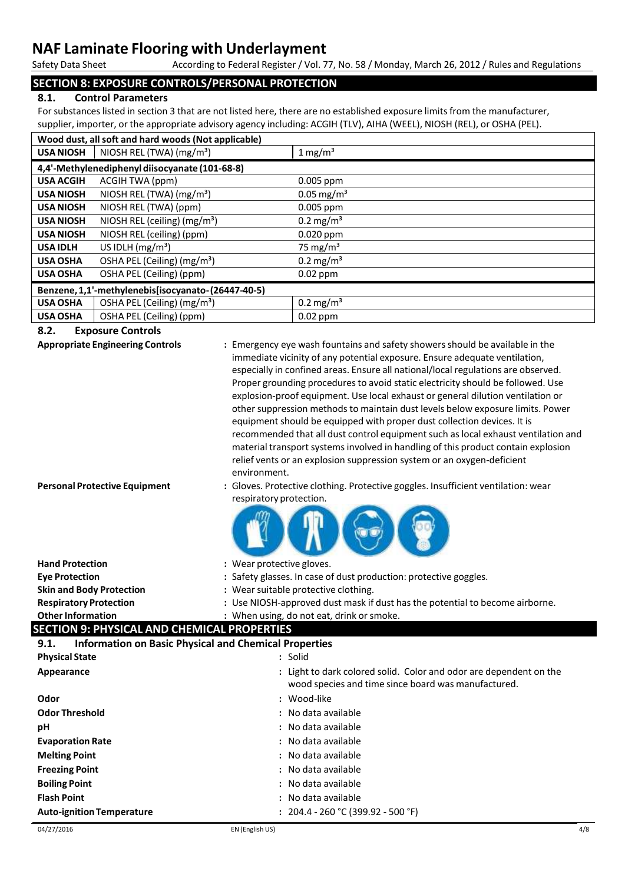According to Federal Register / Vol. 77, No. 58 / Monday, March 26, 2012 / Rules and Regulations

### **SECTION 8: EXPOSURE CONTROLS/PERSONAL PROTECTION**

### **8.1. Control Parameters**

For substances listed in section 3 that are not listed here, there are no established exposure limits from the manufacturer, supplier, importer, or the appropriate advisory agency including: ACGIH (TLV), AIHA (WEEL), NIOSH (REL), or OSHA (PEL).

|                                                    | Wood dust, all soft and hard woods (Not applicable) |                          |
|----------------------------------------------------|-----------------------------------------------------|--------------------------|
| <b>USA NIOSH</b>                                   | NIOSH REL (TWA) (mg/m <sup>3</sup> )                | $1 \text{ mg/m}^3$       |
|                                                    | 4,4'-Methylenediphenyl diisocyanate (101-68-8)      |                          |
| <b>USA ACGIH</b>                                   | ACGIH TWA (ppm)                                     | $0.005$ ppm              |
| <b>USA NIOSH</b>                                   | NIOSH REL (TWA) (mg/m <sup>3</sup> )                | $0.05 \,\mathrm{mg/m^3}$ |
| <b>USA NIOSH</b>                                   | NIOSH REL (TWA) (ppm)                               | 0.005 ppm                |
| <b>USA NIOSH</b>                                   | NIOSH REL (ceiling) (mg/m <sup>3</sup> )            | $0.2 \,\mathrm{mg/m^3}$  |
| <b>USA NIOSH</b>                                   | NIOSH REL (ceiling) (ppm)                           | $0.020$ ppm              |
| <b>USA IDLH</b>                                    | US IDLH $(mg/m3)$                                   | 75 mg/m <sup>3</sup>     |
| <b>USA OSHA</b>                                    | OSHA PEL (Ceiling) (mg/m <sup>3</sup> )             | $0.2 \text{ mg/m}^3$     |
| <b>USA OSHA</b>                                    | OSHA PEL (Ceiling) (ppm)                            | $0.02$ ppm               |
| Benzene, 1,1'-methylenebis[isocyanato-(26447-40-5) |                                                     |                          |
| <b>USA OSHA</b>                                    | OSHA PEL (Ceiling) $(mg/m3)$                        | $0.2 \,\mathrm{mg/m^3}$  |
| <b>USA OSHA</b>                                    | OSHA PEL (Ceiling) (ppm)                            | $0.02$ ppm               |

### **8.2. Exposure Controls**

**Appropriate Engineering Controls :** Emergency eye wash fountains and safety showersshould be available in the immediate vicinity of any potential exposure. Ensure adequate ventilation, especially in confined areas. Ensure all national/local regulations are observed. Proper grounding procedures to avoid static electricity should be followed. Use explosion-proof equipment. Use local exhaust or general dilution ventilation or other suppression methods to maintain dust levels below exposure limits. Power equipment should be equipped with proper dust collection devices. It is recommended that all dust control equipment such aslocal exhaust ventilation and material transport systemsinvolved in handling of this product contain explosion relief vents or an explosion suppression system or an oxygen-deficient environment.

**Personal Protective Equipment :** Gloves. Protective clothing. Protective goggles. Insufficient ventilation: wear respiratory protection.



| <b>Hand Protection</b>                      | : Wear protective gloves.                                                    |
|---------------------------------------------|------------------------------------------------------------------------------|
| <b>Eve Protection</b>                       | : Safety glasses. In case of dust production: protective goggles.            |
| <b>Skin and Body Protection</b>             | : Wear suitable protective clothing.                                         |
| <b>Respiratory Protection</b>               | : Use NIOSH-approved dust mask if dust has the potential to become airborne. |
| <b>Other Information</b>                    | : When using, do not eat, drink or smoke.                                    |
| SECTION 9: DHVSICAL AND CHEMICAL DRODERTIES |                                                                              |

### **SECTION 9: PHYSICAL AND CHEMICAL PROPERTIES**

| <b>Information on Basic Physical and Chemical Properties</b><br>9.1. |                                                                                                                           |
|----------------------------------------------------------------------|---------------------------------------------------------------------------------------------------------------------------|
| <b>Physical State</b>                                                | : Solid                                                                                                                   |
| Appearance                                                           | : Light to dark colored solid. Color and odor are dependent on the<br>wood species and time since board was manufactured. |
| Odor                                                                 | : Wood-like                                                                                                               |
| <b>Odor Threshold</b>                                                | : No data available                                                                                                       |
| рH                                                                   | : No data available                                                                                                       |
| <b>Evaporation Rate</b>                                              | : No data available                                                                                                       |
| <b>Melting Point</b>                                                 | : No data available                                                                                                       |
| <b>Freezing Point</b>                                                | : No data available                                                                                                       |
| <b>Boiling Point</b>                                                 | : No data available                                                                                                       |
| <b>Flash Point</b>                                                   | : No data available                                                                                                       |
| <b>Auto-ignition Temperature</b>                                     | : $204.4 - 260$ °C (399.92 - 500 °F)                                                                                      |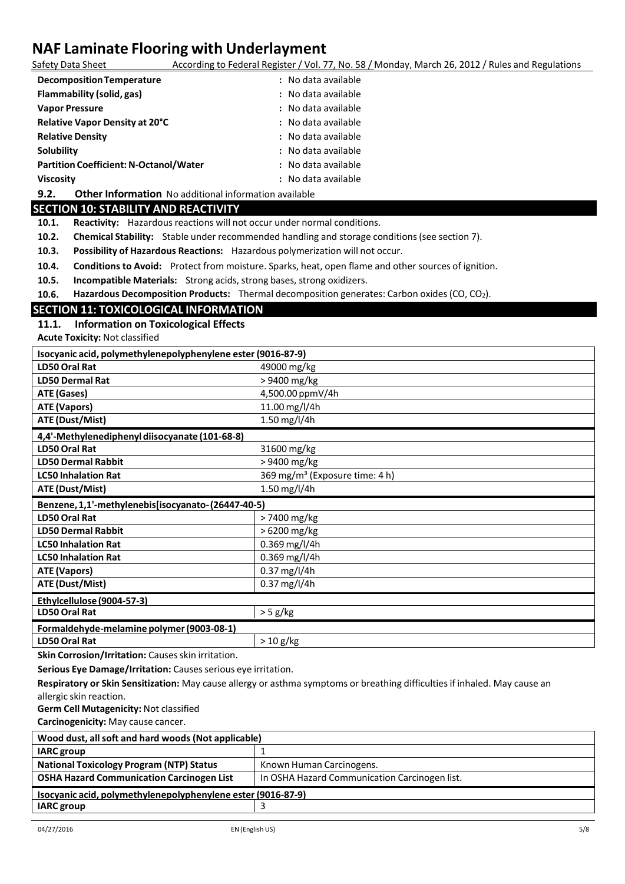According to Federal Register / Vol. 77, No. 58 / Monday, March 26, 2012 / Rules and Regulations

| <b>Decomposition Temperature</b>              | : No data available |
|-----------------------------------------------|---------------------|
| Flammability (solid, gas)                     | : No data available |
| <b>Vapor Pressure</b>                         | : No data available |
| Relative Vapor Density at 20°C                | : No data available |
| <b>Relative Density</b>                       | : No data available |
| Solubility                                    | : No data available |
| <b>Partition Coefficient: N-Octanol/Water</b> | : No data available |
| <b>Viscosity</b>                              | : No data available |

**9.2. Other Information** No additional information available

### **SECTION 10: STABILITY AND REACTIVITY**

10.1. **Reactivity:** Hazardous reactions will not occur under normal conditions.

**10.2. Chemical Stability:** Stable under recommended handling and storage conditions(see section 7).

**10.3. Possibility of Hazardous Reactions:** Hazardous polymerization will not occur.

**10.4. Conditions to Avoid:** Protect from moisture. Sparks, heat, open flame and other sources of ignition.

**10.5. Incompatible Materials:** Strong acids, strong bases, strong oxidizers.

**10.6. Hazardous Decomposition Products:** Thermal decomposition generates: Carbon oxides(CO, CO2).

### **SECTION 11: TOXICOLOGICAL INFORMATION**

### **11.1. Information on Toxicological Effects**

**Acute Toxicity:** Not classified

| Isocyanic acid, polymethylenepolyphenylene ester (9016-87-9) |                                            |
|--------------------------------------------------------------|--------------------------------------------|
| LD50 Oral Rat                                                | 49000 mg/kg                                |
| <b>LD50 Dermal Rat</b>                                       | > 9400 mg/kg                               |
| ATE (Gases)                                                  | 4,500.00 ppmV/4h                           |
| <b>ATE (Vapors)</b>                                          | 11.00 mg/l/4h                              |
| <b>ATE (Dust/Mist)</b>                                       | 1.50 mg/l/4h                               |
| 4,4'-Methylenediphenyl diisocyanate (101-68-8)               |                                            |
| <b>LD50 Oral Rat</b>                                         | 31600 mg/kg                                |
| <b>LD50 Dermal Rabbit</b>                                    | >9400 mg/kg                                |
| <b>LC50 Inhalation Rat</b>                                   | 369 mg/m <sup>3</sup> (Exposure time: 4 h) |
| ATE (Dust/Mist)                                              | 1.50 mg/l/4h                               |
| Benzene, 1,1'-methylenebis[isocyanato-(26447-40-5)           |                                            |
| <b>LD50 Oral Rat</b>                                         | >7400 mg/kg                                |
| <b>LD50 Dermal Rabbit</b>                                    | > 6200 mg/kg                               |
| <b>LC50 Inhalation Rat</b>                                   | 0.369 mg/l/4h                              |
| <b>LC50 Inhalation Rat</b>                                   | $0.369$ mg/l/4h                            |
| ATE (Vapors)                                                 | 0.37 mg/l/4h                               |
| ATE (Dust/Mist)                                              | $0.37$ mg/l/4h                             |
| Ethylcellulose (9004-57-3)                                   |                                            |
| LD50 Oral Rat                                                | $> 5$ g/kg                                 |
|                                                              |                                            |
| Formaldehyde-melamine polymer (9003-08-1)                    |                                            |

**Skin Corrosion/Irritation:** Causes skin irritation.

**Serious Eye Damage/Irritation:** Causes serious eye irritation.

**Respiratory or Skin Sensitization:** May cause allergy or asthma symptoms or breathing difficultiesif inhaled. May cause an allergic skin reaction.

**Germ Cell Mutagenicity:** Not classified

**Carcinogenicity:** May cause cancer.

| Wood dust, all soft and hard woods (Not applicable)          |                                               |
|--------------------------------------------------------------|-----------------------------------------------|
| <b>IARC</b> group                                            |                                               |
| <b>National Toxicology Program (NTP) Status</b>              | Known Human Carcinogens.                      |
| <b>OSHA Hazard Communication Carcinogen List</b>             | In OSHA Hazard Communication Carcinogen list. |
| Isocyanic acid, polymethylenepolyphenylene ester (9016-87-9) |                                               |
| <b>IARC</b> group                                            |                                               |
|                                                              |                                               |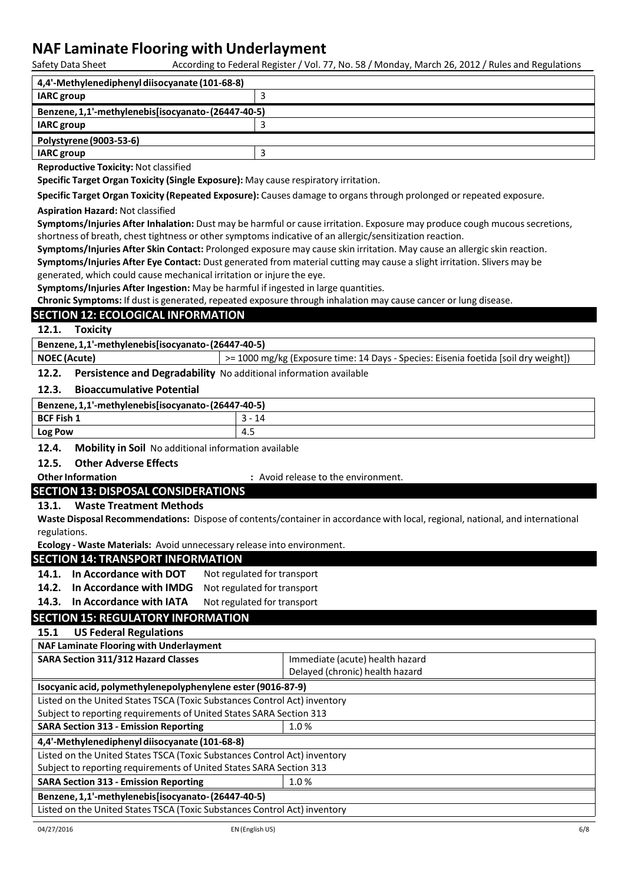According to Federal Register / Vol. 77, No. 58 / Monday, March 26, 2012 / Rules and Regulations

| 4,4'-Methylenediphenyl diisocyanate (101-68-8)                 |   |
|----------------------------------------------------------------|---|
| <b>IARC</b> group                                              | З |
| Benzene, 1,1'-methylenebis[isocyanato-(26447-40-5)             |   |
| <b>IARC</b> group                                              |   |
| Polystyrene (9003-53-6)                                        |   |
| <b>IARC</b> group                                              | З |
| . Because also actives the contribution Allega also active all |   |

**Reproductive Toxicity:** Not classified

**Specific Target Organ Toxicity (Single Exposure):** May cause respiratory irritation.

**Specific Target Organ Toxicity (Repeated Exposure):** Causes damage to organsthrough prolonged or repeated exposure.

#### **Aspiration Hazard:** Not classified

**Symptoms/Injuries After Inhalation:** Dust may be harmful or cause irritation. Exposure may produce cough mucoussecretions, shortness of breath, chest tightness or other symptoms indicative of an allergic/sensitization reaction.

**Symptoms/Injuries After Skin Contact:** Prolonged exposure may cause skin irritation. May cause an allergic skin reaction.

**Symptoms/Injuries After Eye Contact:** Dust generated from material cutting may cause a slight irritation. Slivers may be generated, which could cause mechanical irritation or injure the eye.

**Symptoms/Injuries After Ingestion:** May be harmful if ingested in large quantities.

**Chronic Symptoms:** If dust is generated, repeated exposure through inhalation may cause cancer or lung disease.

### **SECTION 12: ECOLOGICAL INFORMATION**

**12.1. Toxicity**

**Benzene,1,1'-methylenebis[isocyanato-(26447-40-5)**

**NOEC (Acute) <b>Exposure 1000** mg/kg (Exposure time: 14 Days - Species: Eisenia foetida [soil dry weight])

**12.2. Persistence and Degradability** No additional information available

### **12.3. Bioaccumulative Potential**

| Benzene, 1,1'-methylenebis[isocyanato-(26447-40-5) |     |
|----------------------------------------------------|-----|
| <b>BCF Fish 1</b>                                  | 14  |
| <b>Log Pow</b>                                     | 4.5 |

**12.4. Mobility in Soil** No additional information available

### **12.5. Other Adverse Effects**

**Other Information by the contract of the environment. Contract System :** Avoid release to the environment.

### **SECTION 13: DISPOSAL CONSIDERATIONS**

### **13.1. Waste Treatment Methods**

**Waste Disposal Recommendations:** Dispose of contents/container in accordance with local, regional, national, and international regulations.

**Ecology - Waste Materials:** Avoid unnecessary release into environment.

### **SECTION 14: TRANSPORT INFORMATION**

**14.1. In Accordance with DOT** Not regulated for transport

**14.2. In Accordance with IMDG** Not regulated for transport

**14.3. In Accordance with IATA** Not regulated for transport

### **SECTION 15: REGULATORY INFORMATION**

### **15.1 US Federal Regulations**

| <b>NAF Laminate Flooring with Underlayment</b>                            |                                 |  |
|---------------------------------------------------------------------------|---------------------------------|--|
| <b>SARA Section 311/312 Hazard Classes</b>                                | Immediate (acute) health hazard |  |
|                                                                           | Delayed (chronic) health hazard |  |
| Isocyanic acid, polymethylenepolyphenylene ester (9016-87-9)              |                                 |  |
| Listed on the United States TSCA (Toxic Substances Control Act) inventory |                                 |  |
| Subject to reporting requirements of United States SARA Section 313       |                                 |  |
| <b>SARA Section 313 - Emission Reporting</b>                              | 1.0%                            |  |
| 4,4'-Methylenediphenyl diisocyanate (101-68-8)                            |                                 |  |
| Listed on the United States TSCA (Toxic Substances Control Act) inventory |                                 |  |
| Subject to reporting requirements of United States SARA Section 313       |                                 |  |
| <b>SARA Section 313 - Emission Reporting</b>                              | 1.0%                            |  |
| Benzene, 1,1'-methylenebis[isocyanato-(26447-40-5)                        |                                 |  |
| Listed on the United States TSCA (Toxic Substances Control Act) inventory |                                 |  |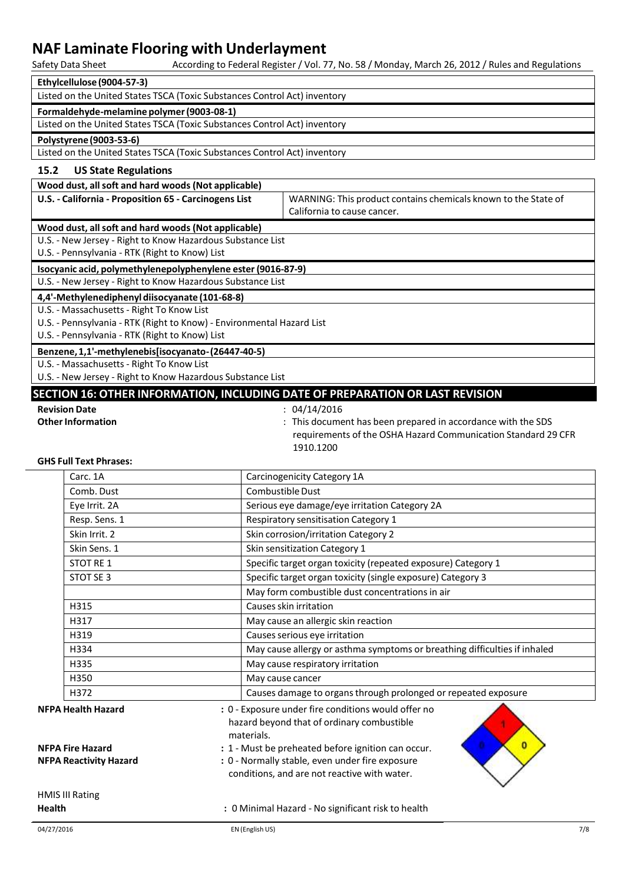| Safety Data Sheet                                                         |                  | According to Federal Register / Vol. 77, No. 58 / Monday, March 26, 2012 / Rules and Regulations                              |
|---------------------------------------------------------------------------|------------------|-------------------------------------------------------------------------------------------------------------------------------|
| Ethylcellulose (9004-57-3)                                                |                  |                                                                                                                               |
| Listed on the United States TSCA (Toxic Substances Control Act) inventory |                  |                                                                                                                               |
| Formaldehyde-melamine polymer (9003-08-1)                                 |                  |                                                                                                                               |
| Listed on the United States TSCA (Toxic Substances Control Act) inventory |                  |                                                                                                                               |
| Polystyrene (9003-53-6)                                                   |                  |                                                                                                                               |
| Listed on the United States TSCA (Toxic Substances Control Act) inventory |                  |                                                                                                                               |
| 15.2<br><b>US State Regulations</b>                                       |                  |                                                                                                                               |
| Wood dust, all soft and hard woods (Not applicable)                       |                  |                                                                                                                               |
| U.S. - California - Proposition 65 - Carcinogens List                     |                  | WARNING: This product contains chemicals known to the State of                                                                |
|                                                                           |                  | California to cause cancer.                                                                                                   |
| Wood dust, all soft and hard woods (Not applicable)                       |                  |                                                                                                                               |
| U.S. - New Jersey - Right to Know Hazardous Substance List                |                  |                                                                                                                               |
| U.S. - Pennsylvania - RTK (Right to Know) List                            |                  |                                                                                                                               |
| Isocyanic acid, polymethylenepolyphenylene ester (9016-87-9)              |                  |                                                                                                                               |
| U.S. - New Jersey - Right to Know Hazardous Substance List                |                  |                                                                                                                               |
| 4,4'-Methylenediphenyl diisocyanate (101-68-8)                            |                  |                                                                                                                               |
| U.S. - Massachusetts - Right To Know List                                 |                  |                                                                                                                               |
| U.S. - Pennsylvania - RTK (Right to Know) - Environmental Hazard List     |                  |                                                                                                                               |
| U.S. - Pennsylvania - RTK (Right to Know) List                            |                  |                                                                                                                               |
| Benzene, 1,1'-methylenebis[isocyanato-(26447-40-5)                        |                  |                                                                                                                               |
| U.S. - Massachusetts - Right To Know List                                 |                  |                                                                                                                               |
| U.S. - New Jersey - Right to Know Hazardous Substance List                |                  |                                                                                                                               |
|                                                                           |                  | SECTION 16: OTHER INFORMATION, INCLUDING DATE OF PREPARATION OR LAST REVISION                                                 |
| <b>Revision Date</b>                                                      |                  | : 04/14/2016                                                                                                                  |
| <b>Other Information</b>                                                  |                  | : This document has been prepared in accordance with the SDS<br>requirements of the OSHA Hazard Communication Standard 29 CFR |
|                                                                           |                  | 1910.1200                                                                                                                     |
| <b>GHS Full Text Phrases:</b>                                             |                  |                                                                                                                               |
| Carc. 1A                                                                  |                  | Carcinogenicity Category 1A                                                                                                   |
| Comb. Dust                                                                | Combustible Dust |                                                                                                                               |
| Eye Irrit. 2A                                                             |                  | Serious eye damage/eye irritation Category 2A                                                                                 |
| Resp. Sens. 1                                                             |                  | Respiratory sensitisation Category 1                                                                                          |
| Skin Irrit. 2                                                             |                  | Skin corrosion/irritation Category 2                                                                                          |
| Skin Sens. 1                                                              |                  | Skin sensitization Category 1                                                                                                 |
| STOT RE 1                                                                 |                  | Specific target organ toxicity (repeated exposure) Category 1                                                                 |
| STOT SE 3                                                                 |                  | Specific target organ toxicity (single exposure) Category 3                                                                   |
|                                                                           |                  | May form combustible dust concentrations in air                                                                               |
| H315                                                                      |                  | Causes skin irritation                                                                                                        |
| H317                                                                      |                  | May cause an allergic skin reaction                                                                                           |
| H319                                                                      |                  | Causes serious eye irritation                                                                                                 |
| H334                                                                      |                  | May cause allergy or asthma symptoms or breathing difficulties if inhaled                                                     |
| H335                                                                      |                  | May cause respiratory irritation                                                                                              |
| H350                                                                      | May cause cancer |                                                                                                                               |
| H372                                                                      |                  | Causes damage to organs through prolonged or repeated exposure                                                                |
| <b>NFPA Health Hazard</b>                                                 |                  | : 0 - Exposure under fire conditions would offer no                                                                           |
|                                                                           |                  | hazard beyond that of ordinary combustible                                                                                    |
| materials.                                                                |                  |                                                                                                                               |
|                                                                           |                  |                                                                                                                               |
| <b>NFPA Fire Hazard</b>                                                   |                  | : 1 - Must be preheated before ignition can occur.                                                                            |
| <b>NFPA Reactivity Hazard</b>                                             |                  | : 0 - Normally stable, even under fire exposure                                                                               |
|                                                                           |                  | conditions, and are not reactive with water.                                                                                  |
|                                                                           |                  |                                                                                                                               |
| <b>HMIS III Rating</b><br>Health                                          |                  | : 0 Minimal Hazard - No significant risk to health                                                                            |